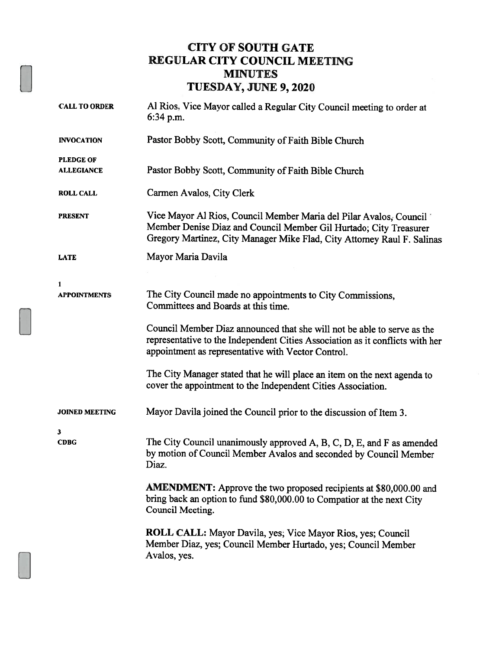## CITY OF SOUTH GATE REGULAR CITY COUNCIL MEETING MINUTES TUESDAY, JUNE 9, <sup>2020</sup>

| <b>CALL TO ORDER</b>                  | Al Rios, Vice Mayor called a Regular City Council meeting to order at<br>6:34 p.m.                                                                                                                                 |
|---------------------------------------|--------------------------------------------------------------------------------------------------------------------------------------------------------------------------------------------------------------------|
| <b>INVOCATION</b>                     | Pastor Bobby Scott, Community of Faith Bible Church                                                                                                                                                                |
| <b>PLEDGE OF</b><br><b>ALLEGIANCE</b> | Pastor Bobby Scott, Community of Faith Bible Church                                                                                                                                                                |
| <b>ROLL CALL</b>                      | Carmen Avalos, City Clerk                                                                                                                                                                                          |
| <b>PRESENT</b>                        | Vice Mayor Al Rios, Council Member Maria del Pilar Avalos, Council<br>Member Denise Diaz and Council Member Gil Hurtado; City Treasurer<br>Gregory Martinez, City Manager Mike Flad, City Attorney Raul F. Salinas |
| <b>LATE</b>                           | Mayor Maria Davila                                                                                                                                                                                                 |
| 1                                     |                                                                                                                                                                                                                    |
| <b>APPOINTMENTS</b>                   | The City Council made no appointments to City Commissions,<br>Committees and Boards at this time.                                                                                                                  |
|                                       | Council Member Diaz announced that she will not be able to serve as the<br>representative to the Independent Cities Association as it conflicts with her<br>appointment as representative with Vector Control.     |
|                                       | The City Manager stated that he will place an item on the next agenda to<br>cover the appointment to the Independent Cities Association.                                                                           |
| <b>JOINED MEETING</b>                 | Mayor Davila joined the Council prior to the discussion of Item 3.                                                                                                                                                 |
| 3<br><b>CDBG</b>                      | The City Council unanimously approved A, B, C, D, E, and F as amended<br>by motion of Council Member Avalos and seconded by Council Member<br>Diaz.                                                                |
|                                       | <b>AMENDMENT:</b> Approve the two proposed recipients at \$80,000.00 and<br>bring back an option to fund \$80,000.00 to Compatior at the next City<br>Council Meeting.                                             |
|                                       | ROLL CALL: Mayor Davila, yes; Vice Mayor Rios, yes; Council<br>Member Diaz, yes; Council Member Hurtado, yes; Council Member<br>Avalos, yes.                                                                       |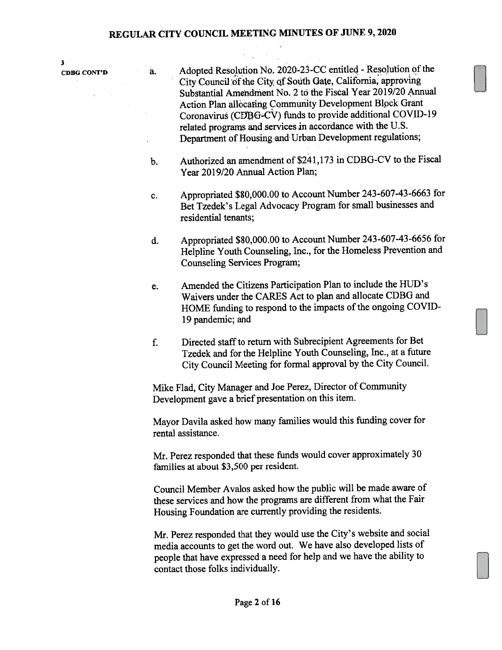3

- cDBG CONT'D a. Adopted Resolution No. 2020-23-CC entitled -Resotion of the City Council of the City of South Gate, California, approving Substantial Amendment No. 2 to the Fiscal Year 2019/20 Annual Action Plan allocating Community Development Block Grant Coronavirus (CDBG-CV) funds to provide additional COVID-19 related programs and services in accordance with the U.S. Department of Housing and Urban Development regulations;
	- b. Authorized an amendment of \$241,173 in CDBG-CV to the Fiscal Year 2019/20 Annual Action Plan;
	- c. Appropriated \$80,000.00 to Account Number 243-607-43-6663 for Bet Tzedek's Legal Advocacy Program for small businesses and residential tenants;
	- d. Appropriated \$80,000.00 to Account Number 243-607-43-6656 for Helpline Youth Counseling, Inc., for the Homeless Prevention and Counseling Services Program;
	- e. Amended the Citizens Participation Plan to include the HUD's Waivers under the CARES Act to plan and allocate CDBG and HOME funding to respon<sup>d</sup> to the impacts of the ongoing COVID 19 pandemic; and
	- f. Directed staffto return with Subrecipient Agreements for Bet Tzedek and for the Helpline Youth Counseling, Inc., at <sup>a</sup> future City Council Meeting for formal approva<sup>l</sup> by the City Council.

Mike Flad, City Manager and Joe Perez, Director of Community Development gave <sup>a</sup> brief presentation on this item.

Mayor Davila asked how many families would this funding cover for rental assistance.

Mr. Perez responded that these funds would cover approximately <sup>30</sup> families at about \$3,500 per resident.

Council Member Avalos asked how the public will be made aware of these services and how the programs are different from what the Fair Housing Foundation are currently providing the residents.

Mr. Perez responded that they would use the City's website and social media accounts to ge<sup>t</sup> the word out. We have also developed lists of people that have expresse<sup>d</sup> <sup>a</sup> need for help and we have the ability to contact those folks individually.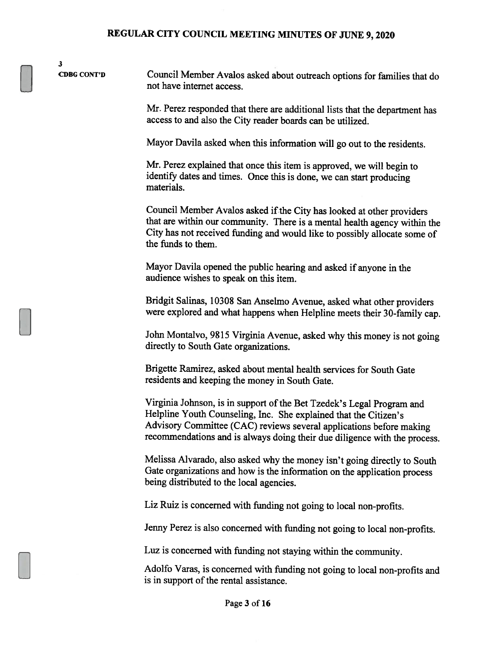CDBG CONT'D Council Member Avalos asked about outreach options for families that do not have internet access.

3

Mr. Perez responded that there are additional lists that the department has access to and also the City reader boards can be utilized.

Mayor Davila asked when this information will go out to the residents.

Mr. Perez explained that once this item is approved, we will begin to identify dates and times. Once this is done, we can start producing materials.

Council Member Avalos asked if the City has looked at other providers that are within our community. There is <sup>a</sup> mental health agency within the City has not received funding and would like to possibly allocate some of the funds to them.

Mayor Davila opened the public hearing and asked if anyone in the audience wishes to speak on this item.

Bridgit Salinas, <sup>10308</sup> San Anselmo Avenue, asked what other providers were explored and what happens when Helpline meets their 30-family cap.

John Montalvo, <sup>9815</sup> Virginia Avenue, asked why this money is not going directly to South Gate organizations.

Brigette Ramirez, asked about mental health services for South Gate residents and keeping the money in South Gate.

Virginia Johnson, is in support of the Bet Tzedek's Legal Program and Helpline Youth Counseling, Inc. She explained that the Citizen's Advisory Committee (CAC) reviews several applications before making recommendations and is always doing their due diligence with the process.

Melissa Alvarado, also asked why the money isn't going directly to South Gate organizations and how is the information on the application process being distributed to the local agencies.

Liz Ruiz is concerned with funding not going to local non-profits.

Jenny Perez is also concerned with funding not going to local non-profits.

Luz is concerned with funding not staying within the community.

Adolfo Varas, is concerned with funding not going to local non-profits and is in support of the rental assistance.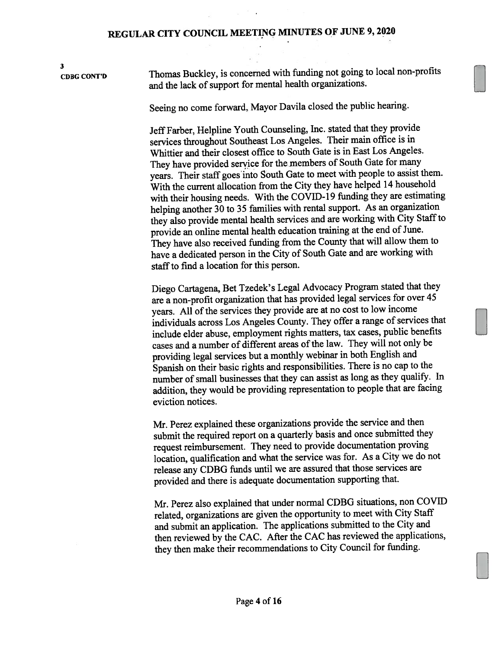3 CDBG CON'r'D Thomas Buckley, is concerned with funding not going to local non-profits and the lack of suppor<sup>t</sup> for mental health organizations.

Seeing no come forward, Mayor Davila closed the public hearing.

Jeff Farber, Helpline Youth Counseling, Inc. stated that they provide services throughout Southeast Los Angeles. Their main office is in Whittier and their closest office to South Gate is in East Los Angeles. They have provided service for the members of South Gate for many years. Their staff goes into South Gate to meet with people to assist them. With the current allocation from the City they have helped <sup>14</sup> household with their housing needs. With the COVID-19 funding they are estimating helping another <sup>30</sup> to <sup>35</sup> families with rental support. As an organization they also provide mental health services and are working with City Staff to provide an online mental health education training at the end of June. They have also received funding from the County that will allow them to have <sup>a</sup> dedicated person in the City of South Gate and are working with staff to find a location for this person.

Diego Cartagena, Bet Tzedek's Legal Advocacy Program stated that they are <sup>a</sup> non-profit organization that has provided legal services for over <sup>45</sup> years. All of the services they provide are at no cost to low income individuals across Los Angeles County. They offer <sup>a</sup> range of services that include elder abuse, employment rights matters, tax cases, public benefits cases and <sup>a</sup> number of different areas of the law. They will not only be providing legal services but <sup>a</sup> monthly webinar in both English and Spanish on their basic rights and responsibilities. There is no cap to the number of small businesses that they can assist as long as they qualify. In addition, they would be providing representation to people that are facing eviction notices.

Mr. Perez explained these organizations provide the service and then submit the required repor<sup>t</sup> on <sup>a</sup> quarterly basis and once submitted they reques<sup>t</sup> reimbursement, They need to provide documentation proving location, qualification and what the service was for. As <sup>a</sup> City we do not release any CDBG funds until we are assured that those services are provided and there is adequate documentation supporting that.

Mr. Perez also explained that under normal CDBG situations, non COVID related, organizations are <sup>g</sup>iven the opportunity to meet with City Staff and submit an application. The applications submitted to the City and then reviewed by the CAC. After the CAC has reviewed the applications, they then make their recommendations to City Council for funding.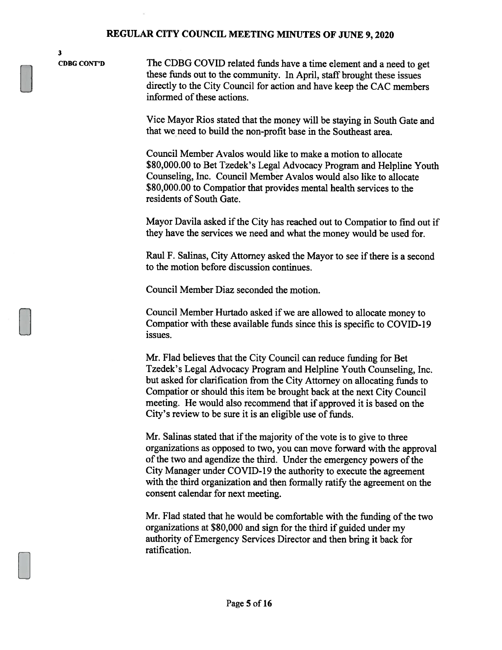3

CDBG CONT'D The CDBG COVID related funds have a time element and a need to get these funds out to the community. In April, staff brought these issues directly to the City Council for action and have keep the CAC members informed of these actions.

> Vice Mayor Rios stated that the money will be staying in South Gate and that we need to build the non-profit base in the Southeast area.

Council Member Avalos would like to make a motion to allocate \$80,000.00 to Bet Tzedek's Legal Advocacy Program and Helpline Youth Counseling, Inc. Council Member Avalos would also like to allocate \$80,000.00 to Compatior that provides mental health services to the residents of South Gate.

Mayor Davila asked if the City has reached out to Compatior to find out if they have the services we need and what the money would be used for.

Raul F. Salinas, City Attorney asked the Mayor to see if there is a second to the motion before discussion continues.

Council Member Diaz seconded the motion.

Council Member Hurtado asked if we are allowed to allocate money to Compatior with these available funds since this is specific to COVID-19 issues.

Mr. Flad believes that the City Council can reduce funding for Bet Tzedek's Legal Advocacy Program and Helpline Youth Counseling, Inc. but asked for clarification from the City Attorney on allocating funds to Compatior or should this item be brought back at the next City Council meeting. He would also recommend that if approved it is based on the City's review to be sure it is an eligible use of funds.

Mr. Salinas stated that if the majority of the vote is to give to three organizations as opposed to two, you can move forward with the approval of the two and agendize the third. Under the emergency powers of the City Manager under COVID- 19 the authority to execute the agreement with the third organization and then formally ratify the agreement on the consent calendar for next meeting.

Mr. Flad stated that he would be comfortable with the funding of the two organizations at \$80,000 and sign for the third if guided under my authority of Emergency Services Director and then bring it back for ratification.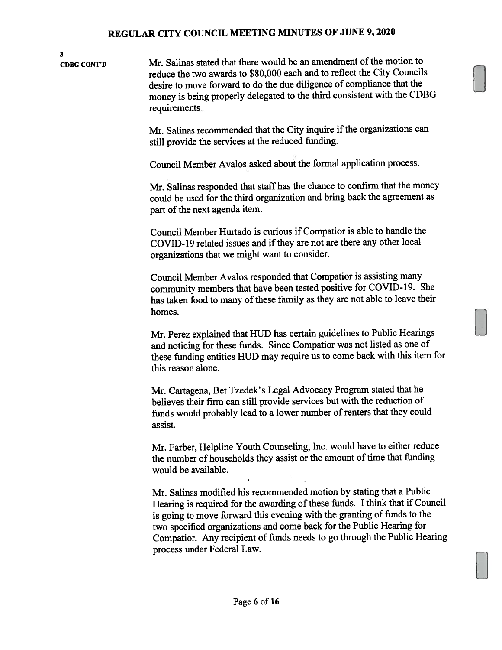3 CDBG CONT'D Mr. Salinas stated that there would be an amendment of the motion to reduce the two awards to \$80,000 each and to reflect the City Councils desire to move forward to do the due diligence of compliance that the money is being properly delegated to the third consistent with the CDBG requirements.

> Mr. Salinas recommended that the City inquire if the organizations can still provide the services at the reduced funding.

Council Member Avalos asked about the formal application process.

Mr. Salinas responded that staff has the chance to confirm that the money could be used for the third organization and bring back the agreemen<sup>t</sup> as part of the next agenda item.

Council Member Hurtado is curious if Compatior is able to handle the COVID-19 related issues and if they are not are there any other local organizations that we might want to consider.

Council Member Avalos responded that Compatior is assisting many community members that have been tested positive for COVID-19. She has taken food to many of these family as they are not able to leave their homes.

Mr. Perez explained that HIJD has certain guidelines to Public Hearings and noticing for these funds. Since Compatior was not listed as one of these funding entities HUD may require us to come back with this item for this reason alone.

Mr. Cartagena, Bet Tzedek's Legal Advocacy Program stated that he believes their firm can still provide services but with the reduction of funds would probably lead to a lower number of renters that they could assist.

Mr. Farber, Helpline Youth Counseling, Inc. would have to either reduce the number of households they assist or the amount of time that funding would be available.

Mr. Salinas modified his recommended motion by stating that <sup>a</sup> Public Hearing is required for the awarding of these funds. I think that if Council is going to move forward this evening with the granting of funds to the two specified organizations and come back for the Public Hearing for Compatior. Any recipient of funds needs to go through the Public Hearing process under Federal Law.

El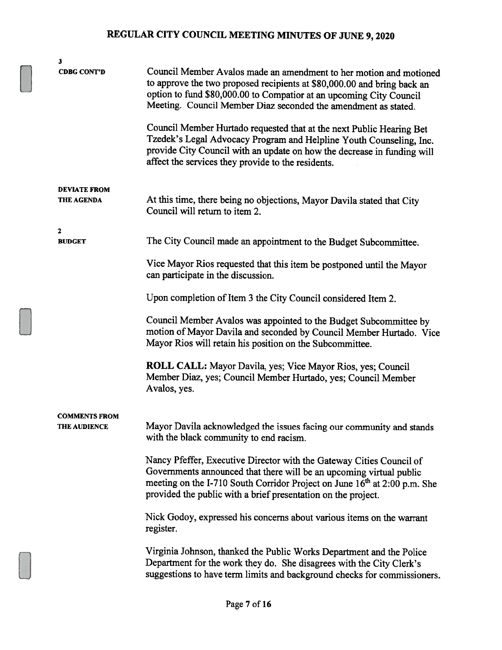| 3                                           |                                                                                                                                                                                                                                                                                                       |
|---------------------------------------------|-------------------------------------------------------------------------------------------------------------------------------------------------------------------------------------------------------------------------------------------------------------------------------------------------------|
| <b>CDBG CONT'D</b>                          | Council Member Avalos made an amendment to her motion and motioned<br>to approve the two proposed recipients at \$80,000.00 and bring back an<br>option to fund \$80,000.00 to Compatior at an upcoming City Council<br>Meeting. Council Member Diaz seconded the amendment as stated.                |
|                                             | Council Member Hurtado requested that at the next Public Hearing Bet<br>Tzedek's Legal Advocacy Program and Helpline Youth Counseling, Inc.<br>provide City Council with an update on how the decrease in funding will<br>affect the services they provide to the residents.                          |
| <b>DEVIATE FROM</b><br><b>THE AGENDA</b>    | At this time, there being no objections, Mayor Davila stated that City<br>Council will return to item 2.                                                                                                                                                                                              |
| $\mathbf 2$                                 |                                                                                                                                                                                                                                                                                                       |
| <b>BUDGET</b>                               | The City Council made an appointment to the Budget Subcommittee.                                                                                                                                                                                                                                      |
|                                             | Vice Mayor Rios requested that this item be postponed until the Mayor<br>can participate in the discussion.                                                                                                                                                                                           |
|                                             | Upon completion of Item 3 the City Council considered Item 2.                                                                                                                                                                                                                                         |
|                                             | Council Member Avalos was appointed to the Budget Subcommittee by<br>motion of Mayor Davila and seconded by Council Member Hurtado. Vice<br>Mayor Rios will retain his position on the Subcommittee.                                                                                                  |
|                                             | ROLL CALL: Mayor Davila, yes; Vice Mayor Rios, yes; Council<br>Member Diaz, yes; Council Member Hurtado, yes; Council Member<br>Avalos, yes.                                                                                                                                                          |
|                                             |                                                                                                                                                                                                                                                                                                       |
| <b>COMMENTS FROM</b><br><b>THE AUDIENCE</b> | Mayor Davila acknowledged the issues facing our community and stands<br>with the black community to end racism.                                                                                                                                                                                       |
|                                             | Nancy Pfeffer, Executive Director with the Gateway Cities Council of<br>Governments announced that there will be an upcoming virtual public<br>meeting on the I-710 South Corridor Project on June 16 <sup>th</sup> at 2:00 p.m. She<br>provided the public with a brief presentation on the project. |
|                                             | Nick Godoy, expressed his concerns about various items on the warrant<br>register.                                                                                                                                                                                                                    |
|                                             | Virginia Johnson, thanked the Public Works Department and the Police<br>Department for the work they do. She disagrees with the City Clerk's<br>suggestions to have term limits and background checks for commissioners.                                                                              |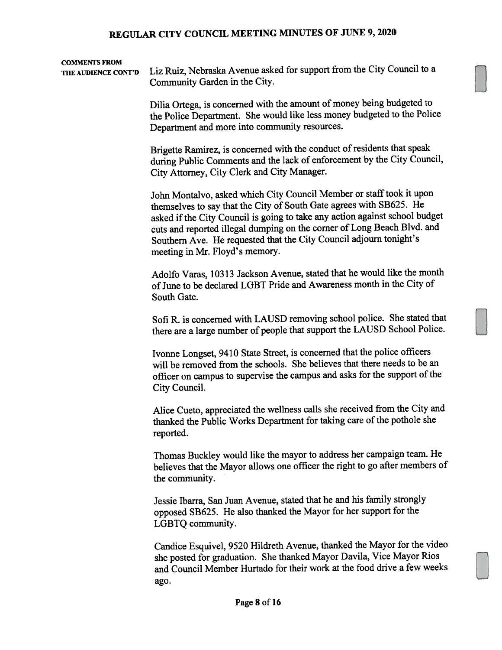## COMMENTS FROM

THE AUDIENCE CONT'D Liz Ruiz, Nebraska Avenue asked for support from the City Council to a Community Garden in the City.

> Dilia Ortega, is concerned with the amount of money being budgeted to the Police Department. She would like less money budgeted to the Police Department and more into community resources.

> Brigette Ramirez, is concerned with the conduct of residents that spea<sup>k</sup> during Public Comments and the lack of enforcement by the City Council, City Attorney, City Clerk and City Manager.

> John Montalvo, asked which City Council Member or staff took it upon themselves to say that the City of South Gate agrees with SB625. He asked if the City Council is going to take any action against school budget cuts and reported illegal dumping on the corner of Long Beach Blvd. and Southern Ave. He requested that the City Council adjourn tonight's meeting in Mr. Floyd's memory.

> Adolfo Varas, 10313 Jackson Avenue, stated that he would like the month of June to be declared LGBT Pride and Awareness month in the City of South Gate.

> Sofi R. is concerned with LAUSD removing school police. She stated that there are <sup>a</sup> large number of people that suppor<sup>t</sup> the LAUSD School Police.

Ivonne Longset, <sup>9410</sup> State Street, is concerned that the police officers will be removed from the schools. She believes that there needs to be an officer on campus to supervise the campus and asks for the support of the City Council.

Alice Cueto, appreciated the wellness calls she received from the City and thanked the Public Works Department for taking care of the pothole she reported.

Thomas Buckley would like the mayor to address her campaign team. He believes that the Mayor allows one officer the right to go after members of the community.

Jessie Ibarra, San Juan Avenue, stated that he and his family strongly oppose<sup>d</sup> SB625. He also thanked the Mayor for her suppor<sup>t</sup> for the LGBTQ community.

Candice Esquivel, <sup>9520</sup> Hildreth Avenue, thanked the Mayor for the video she posted for graduation. She thanked Mayor Davila, Vice Mayor Rios and Council Member Hurtado for their work at the food drive <sup>a</sup> few weeks ago.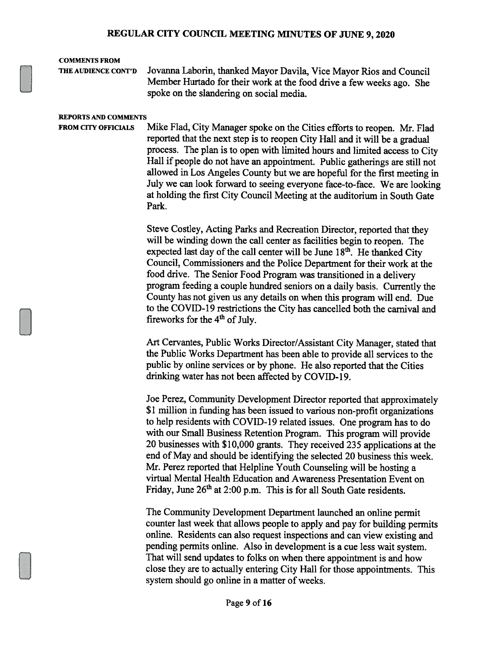#### COMMENTS FROM

THE AUDIENCE CONT'D Jovanna Laborin, thanked Mayor Davila, Vice Mayor Rios and Council Member Hurtado for their work at the food drive <sup>a</sup> few weeks ago. She spoke on the slandering on social media.

#### REPORTS AND COMMENTS

FROM CITY OFFICIALS Mike Flad, City Manager spoke on the Cities efforts to reopen. Mr. Flad reported that the next step is to reopen City Hall and it will be <sup>a</sup> gradual process. The <sup>p</sup>lan is to open with limited hours and limited access to City Hall if people do not have an appointment. Public gatherings are still not allowed in Los Angeles County but we are hopeful for the first meeting in July we can look forward to seeing everyone face-to-face. We are looking at holding the first City Council Meeting at the auditorium in South Gate Park.

> Steve Costley, Acting Parks and Recreation Director, reported that they will be winding down the call center as facilities begin to reopen. The expected last day of the call center will be June  $18<sup>th</sup>$ . He thanked City Council, Commissioners and the Police Department for their work at the food drive. The Senior Food Program was transitioned in <sup>a</sup> delivery program feeding <sup>a</sup> couple hundred seniors on <sup>a</sup> daily basis. Currently the County has not <sup>g</sup>iven us any details on when this program will end. Due to the COVID-19 restrictions the City has cancelled both the carnival and fireworks for the  $4<sup>th</sup>$  of July.

> Art Cervantes, Public Works Director/Assistant City Manager, stated that the Public Works Department has been able to provide all services to the public by online services or by <sup>p</sup>hone. He also reported that the Cities drinking water has not been affected by COVID-19.

> Joe Perez, Community Development Director reported that approximately \$1 million in funding has been issued to various non-profit organizations to help residents with COVID- <sup>19</sup> related issues. One program has to do with our Small Business Retention Program. This program will provide <sup>20</sup> businesses with \$10,000 grants. They received 235 applications at the end of May and should be identifying the selected 20 business this week. Mr. Perez reported that Helpline Youth Counseling will be hosting <sup>a</sup> virtual Mental Health Education and Awareness Presentation Event on Friday, June 26<sup>th</sup> at 2:00 p.m. This is for all South Gate residents.

> The Community Development Department launched an online permit counter last week that allows people to apply and pay for building permits online. Residents can also request inspections and can view existing and pending permits online. Also in development is <sup>a</sup> cue less wait system. That will send updates to folks on when there appointment is and how close they are to actually entering City Hall for those appointments. This system should go online in <sup>a</sup> matter of weeks.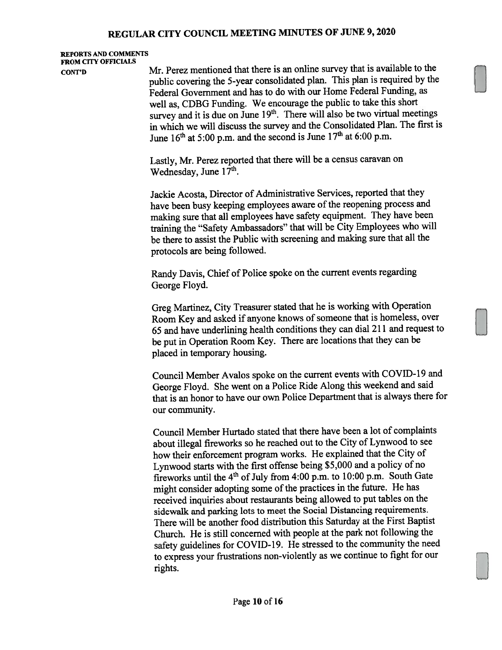## REPORTS AND COMMENTS FROM CITY OFFICIALS

CONT'D Mr. Perez mentioned that there is an online survey that is available to the public covering the 5-year consolidated <sup>p</sup>lan. This <sup>p</sup>lan is required by the Federal Government and has to do with our Home Federal Funding, as well as, CDBG Funding. We encourage the public to take this short survey and it is due on June 19<sup>th</sup>. There will also be two virtual meetings in which we will discuss the survey and the Consolidated Plan. The first is June  $16<sup>th</sup>$  at 5:00 p.m. and the second is June  $17<sup>th</sup>$  at 6:00 p.m.

> Lastly, Mr. Perez reported that there will be <sup>a</sup> census caravan on Wednesday, June 17<sup>th</sup>.

Jackie Acosta, Director of Administrative Services, reported that they have been busy keeping employees aware of the reopening process and making sure that all employees have safety equipment. They have been training the "Safety Ambassadors" that will be City Employees who will be there to assist the Public with screening and making sure that all the protocols are being followed.

Randy Davis, Chief of Police spoke on the current events regarding George Floyd.

Greg Martinez, City Treasurer stated that he is working with Operation Room Key and asked if anyone knows of someone that is homeless, over <sup>65</sup> and have underlining health conditions they can dial <sup>211</sup> and reques<sup>t</sup> to be pu<sup>t</sup> in Operation Room Key. There are locations that they can be <sup>p</sup>laced in temporary housing.

Council Member Avalos spoke on the current events with COVID-19 and George Floyd. She went on <sup>a</sup> Police Ride Along this weekend and said that is an honor to have our own Police Department that is always there for our community.

Council Member Hurtado stated that there have been <sup>a</sup> lot of complaints about illegal fireworks so he reached out to the City of Lynwood to see how their enforcement program works. He explained that the City of Lynwood starts with the first offense being \$5,000 and <sup>a</sup> policy of no fireworks until the  $4<sup>th</sup>$  of July from 4:00 p.m. to 10:00 p.m. South Gate might consider adopting some of the practices in the future. He has received inquiries about restaurants being allowed to pu<sup>t</sup> tables on the sidewalk and parking lots to meet the Social Distancing requirements. There will be another food distribution this Saturday at the First Baptist Church. He is still concerned with people at the park not following the safety guidelines for COVID-19. He stressed to the community the need to express your frustrations non-violently as we continue to fight for our rights.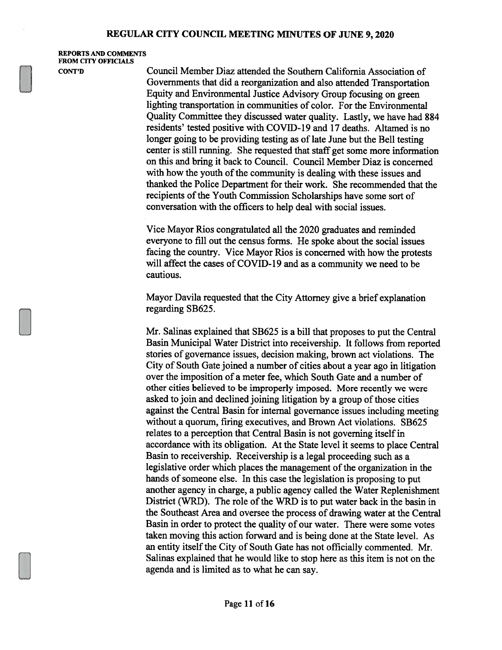REPORTS AND COMMENTS FROM CITY OFFICIALS

CONT'D Council Member Diaz attended the Southern California Association of Governments that did a reorganization and also attended Transportation Equity and Environmentai Justice Advisory Group focusing on green lighting transportation in communities of color. For the Environmental Quality Committee they discussed water quality. Lastly, we have had 884 residents' tested positive with COVID-19 and 17 deaths. Altamed is no longer going to be providing testing as of late June but the Bell testing center is still running. She requested that staff get some more information on this and bring it back to Council. Council Member Diaz is concerned with how the youth of the community is dealing with these issues and thanked the Police Department for their work. She recommended that the recipients of the Youth Commission Scholarships have some sort of conversation with the officers to help deal with social issues.

> Vice Mayor Rios congratulated all the 2020 graduates and reminded everyone to fill out the census forms. He spoke about the social issues facing the country. Vice Mayor Rios is concerned with how the protests will affect the cases of COVID-19 and as a community we need to be cautious.

Mayor Davila requested that the City Attorney give a brief explanation regarding SB625.

Mr. Salinas explained that SB625 is a bill that proposes to put the Central Basin Municipal Water District into receivership. It follows from reported stories of governance issues, decision making, brown act violations. The City of South Gate joined a number of cities about a year ago in litigation over the imposition of a meter fee, which South Gate and a number of other cities believed to be improperly imposed. More recently we were asked to join and declined joining litigation by a group of those cities against the Central Basin for internal governance issues including meeting without a quorum, firing executives, and Brown Act violations. SB625 relates to a perception that Central Basin is not governing itself in accordance with its obligation. At the State level it seems to place Central Basin to receivership. Receivership is a legal proceeding such as a legislative order which places the management of the organization in the hands of someone else. In this case the legislation is proposing to put another agency in charge, a public agency called the Water Replenishment District (WRD). The role of the WRD is to put water back in the basin in the Southeast Area and oversee the process of drawing water at the Central Basin in order to protect the quality of our water. There were some votes taken moving this action forward and is being done at the State level. As an entity itself the City of South Gate has not officially commented. Mr. Salinas explained that he would like to stop here as this item is not on the agenda and is limited as to what he can say.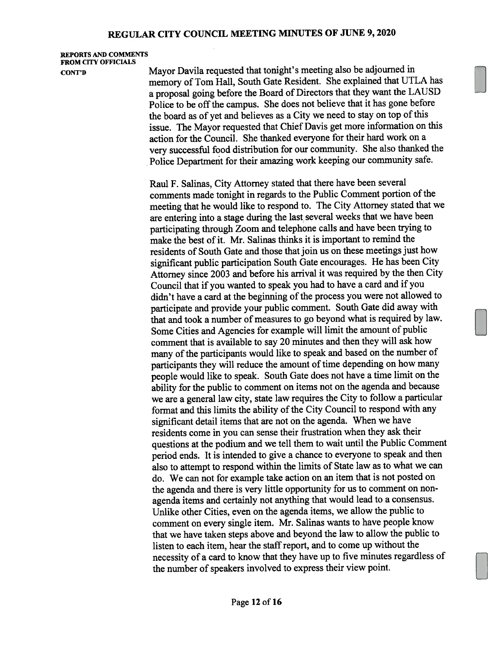REPORTS AND COMMENTS FROM CITY OFFICIALS

CONT'D Mayor Davila requested that tonight's meeting also be adjourned in memory of Tom Hall, South Gate Resident. She explained that UTLA has <sup>a</sup> proposa<sup>l</sup> going before the Board of Directors that they want the LAUSD Police to be off the campus. She does not believe that it has gone before the board as of yet and believes as a City we need to stay on top of this issue. The Mayor requested that Chief Davis ge<sup>t</sup> more information on this action for the Council. She thanked everyone for their hard work on <sup>a</sup> very successful food distribution for our community. She also thanked the Police Department for their amazing work keeping our community safe.

> Raul F. Salinas, City Attorney stated that there have been several comments made tonight in regards to the Public Comment portion of the meeting that he would like to respon<sup>d</sup> to. The City Attorney stated that we are entering into <sup>a</sup> stage during the last several weeks that we have been participating through Zoom and telephone calls and have been trying to make the best of it. Mr. Salinas thinks it is important to remind the residents of South Gate and those that join us on these meetings just how significant public participation South Gate encourages. He has been City Attorney since <sup>2003</sup> and before his arrival it was required by the then City Council that if you wanted to spea<sup>k</sup> you had to have <sup>a</sup> card and if you didn't have a card at the beginning of the process you were not allowed to participate and provide your public comment. South Gate did away with that and took <sup>a</sup> number of measures to go beyond what is required by law. Some Cities and Agencies for example will limit the amount of public comment that is available to say <sup>20</sup> minutes and then they will ask how many of the participants would like to speak and based on the number of participants they will reduce the amount of time depending on how many people would like to speak. South Gate does not have <sup>a</sup> time limit on the ability for the public to comment on items not on the agenda and because we are <sup>a</sup> genera<sup>l</sup> law city, state law requires the City to follow <sup>a</sup> particular format and this limits the ability of the City Council to respond with any significant detail items that are not on the agenda. When we have residents come in you can sense their frustration when they ask their questions at the podium and we tell them to wait until the Public Comment period ends. It is intended to <sup>g</sup>ive <sup>a</sup> chance to everyone to spea<sup>k</sup> and then also to attempt to respond within the limits of State law as to what we can do. We can not for example take action on an item that is not posted on the agenda and there is very little opportunity for us to comment on nonagenda items and certainly not anything that would lead to <sup>a</sup> consensus. Unlike other Cities, even on the agenda items, we allow the public to comment on every single item. Mr. Salinas wants to have people know that we have taken steps above and beyond the law to allow the public to listen to each item, hear the staff report, and to come up without the necessity of <sup>a</sup> card to know that they have up to five minutes regardless of the number of speakers involved to express their view point.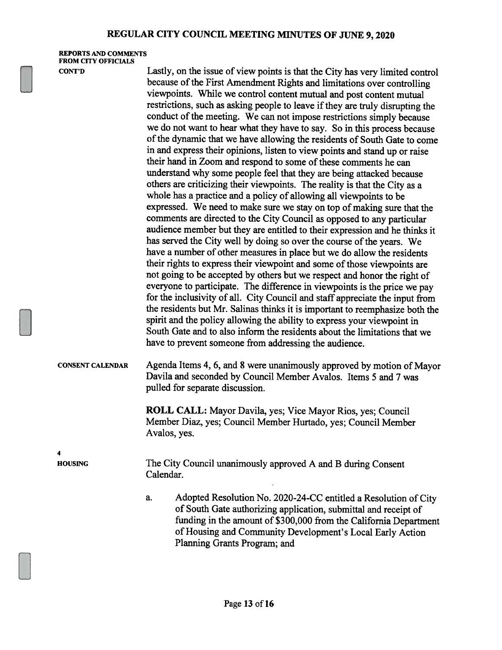REPORTS AND COMMENTS FROM CITY OFFICIALS

CONT'D Lastly, on the issue of view points is that the City has very limited control because of the First Amendment Rights and limitations over controlling viewpoints. While we control content mutual and post content mutual restrictions, such as asking people to leave if they are truly disrupting the conduct of the meeting. We can not impose restrictions simply because we do not want to hear what they have to say. So in this process because of the dynamic that we have allowing the residents of South Gate to come in and express their opinions, listen to view points and stand up or raise their hand in Zoom and respond to some of these comments he can understand why some people feel that they are being attacked because others are criticizing their viewpoints. The reality is that the City as <sup>a</sup> whole has <sup>a</sup> practice and <sup>a</sup> policy of allowing all viewpoints to be expressed. We need to make sure we stay on top of making sure that the comments are directed to the City Council as opposed to any particular audience member but they are entitled to their expression and he thinks it has served the City well by doing so over the course of the years. We have <sup>a</sup> number of other measures in <sup>p</sup>lace but we do allow the residents their rights to express their viewpoint and some of those viewpoints are not going to be accepted by others but we respect and honor the right of everyone to participate. The difference in viewpoints is the price we pay for the inclusivity of all. City Council and staff appreciate the input from the residents but Mr. Salinas thinks it is important to reemphasize both the spirit and the policy allowing the ability to express your viewpoint in South Gate and to also inform the residents about the limitations that we have to prevent someone from addressing the audience.

CONSENT CALENDAR Agenda Items 4, 6, and <sup>8</sup> were unanimously approved by motion of Mayor Davila and seconded by Council Member Avalos. Items 5 and <sup>7</sup> was pulled for separate discussion.

> ROLL CALL: Mayor Davila, yes; Vice Mayor Rios, yes; Council Member Diaz, yes; Council Member Hurtado, yes; Council Member Avalos, yes.

4

HOUSING The City Council unanimously approved A and B during Consent Calendar.

> a. Adopted Resolution No. 2020-24-CC entitled <sup>a</sup> Resolution of City of South Gate authorizing application, submittal and receipt of funding in the amount of \$300,000 from the California Department of Housing and Community Development's Local Early Action Planning Grants Program; and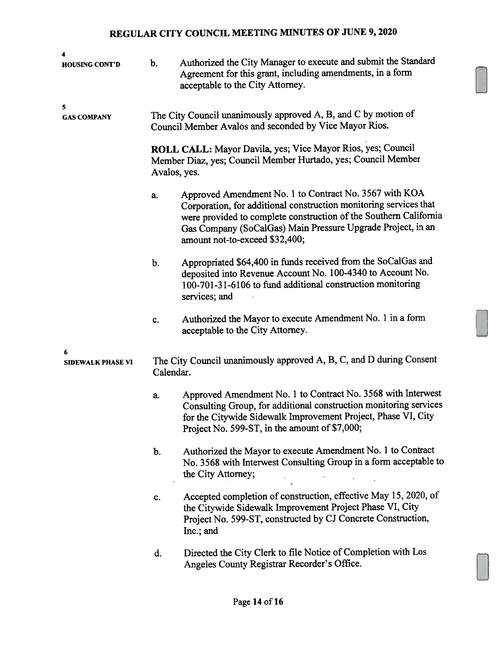| 4                             |                                                                                                                          |                                                                                                                                                                                                                                                                                                   |  |  |
|-------------------------------|--------------------------------------------------------------------------------------------------------------------------|---------------------------------------------------------------------------------------------------------------------------------------------------------------------------------------------------------------------------------------------------------------------------------------------------|--|--|
| <b>HOUSING CONT'D</b>         | b.                                                                                                                       | Authorized the City Manager to execute and submit the Standard<br>Agreement for this grant, including amendments, in a form<br>acceptable to the City Attorney.                                                                                                                                   |  |  |
| 5<br><b>GAS COMPANY</b>       | The City Council unanimously approved A, B, and C by motion of<br>Council Member Avalos and seconded by Vice Mayor Rios. |                                                                                                                                                                                                                                                                                                   |  |  |
|                               |                                                                                                                          | ROLL CALL: Mayor Davila, yes; Vice Mayor Rios, yes; Council<br>Member Diaz, yes; Council Member Hurtado, yes; Council Member<br>Avalos, yes.                                                                                                                                                      |  |  |
|                               | a.                                                                                                                       | Approved Amendment No. 1 to Contract No. 3567 with KOA<br>Corporation, for additional construction monitoring services that<br>were provided to complete construction of the Southern California<br>Gas Company (SoCalGas) Main Pressure Upgrade Project, in an<br>amount not-to-exceed \$32,400; |  |  |
|                               | b.                                                                                                                       | Appropriated \$64,400 in funds received from the SoCalGas and<br>deposited into Revenue Account No. 100-4340 to Account No.<br>100-701-31-6106 to fund additional construction monitoring<br>services; and                                                                                        |  |  |
|                               | c.                                                                                                                       | Authorized the Mayor to execute Amendment No. 1 in a form<br>acceptable to the City Attorney.                                                                                                                                                                                                     |  |  |
| 6<br><b>SIDEWALK PHASE VI</b> | Calendar.                                                                                                                | The City Council unanimously approved A, B, C, and D during Consent                                                                                                                                                                                                                               |  |  |
|                               | a.                                                                                                                       | Approved Amendment No. 1 to Contract No. 3568 with Interwest<br>Consulting Group, for additional construction monitoring services<br>for the Citywide Sidewalk Improvement Project, Phase VI, City<br>Project No. 599-ST, in the amount of \$7,000;                                               |  |  |
|                               | b.                                                                                                                       | Authorized the Mayor to execute Amendment No. 1 to Contract<br>No. 3568 with Interwest Consulting Group in a form acceptable to<br>the City Attorney;                                                                                                                                             |  |  |
|                               | c.                                                                                                                       | Accepted completion of construction, effective May 15, 2020, of<br>the Citywide Sidewalk Improvement Project Phase VI, City<br>Project No. 599-ST, constructed by CJ Concrete Construction,<br>Inc.; and                                                                                          |  |  |
|                               | d.                                                                                                                       | Directed the City Clerk to file Notice of Completion with Los<br>Angeles County Registrar Recorder's Office.                                                                                                                                                                                      |  |  |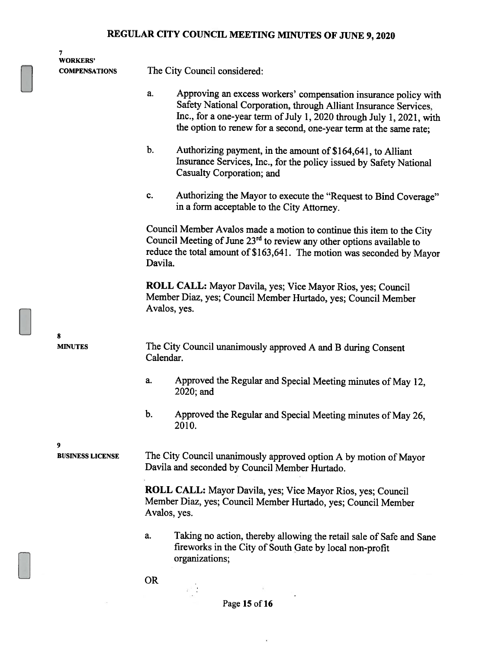| 7<br><b>WORKERS'</b>         |                                                                                                                                                                                                                                                                                        |
|------------------------------|----------------------------------------------------------------------------------------------------------------------------------------------------------------------------------------------------------------------------------------------------------------------------------------|
| <b>COMPENSATIONS</b>         | The City Council considered:                                                                                                                                                                                                                                                           |
|                              | Approving an excess workers' compensation insurance policy with<br>a.<br>Safety National Corporation, through Alliant Insurance Services,<br>Inc., for a one-year term of July 1, 2020 through July 1, 2021, with<br>the option to renew for a second, one-year term at the same rate; |
|                              | b.<br>Authorizing payment, in the amount of \$164,641, to Alliant<br>Insurance Services, Inc., for the policy issued by Safety National<br>Casualty Corporation; and                                                                                                                   |
|                              | Authorizing the Mayor to execute the "Request to Bind Coverage"<br>c.<br>in a form acceptable to the City Attorney.                                                                                                                                                                    |
|                              | Council Member Avalos made a motion to continue this item to the City<br>Council Meeting of June 23 <sup>rd</sup> to review any other options available to<br>reduce the total amount of \$163,641. The motion was seconded by Mayor<br>Davila.                                        |
|                              | ROLL CALL: Mayor Davila, yes; Vice Mayor Rios, yes; Council<br>Member Diaz, yes; Council Member Hurtado, yes; Council Member<br>Avalos, yes.                                                                                                                                           |
| 8<br><b>MINUTES</b>          | The City Council unanimously approved A and B during Consent<br>Calendar.                                                                                                                                                                                                              |
|                              | Approved the Regular and Special Meeting minutes of May 12,<br>a.<br>2020; and                                                                                                                                                                                                         |
|                              | b.<br>Approved the Regular and Special Meeting minutes of May 26,<br>2010.                                                                                                                                                                                                             |
| 9<br><b>BUSINESS LICENSE</b> | The City Council unanimously approved option A by motion of Mayor<br>Davila and seconded by Council Member Hurtado.                                                                                                                                                                    |
|                              | <b>ROLL CALL:</b> Mayor Davila, yes; Vice Mayor Rios, yes; Council<br>Member Diaz, yes; Council Member Hurtado, yes; Council Member<br>Avalos, yes.                                                                                                                                    |
|                              | Taking no action, thereby allowing the retail sale of Safe and Sane<br>a.<br>fireworks in the City of South Gate by local non-profit<br>organizations;                                                                                                                                 |
|                              | <b>OR</b>                                                                                                                                                                                                                                                                              |

 $\overline{\alpha}$